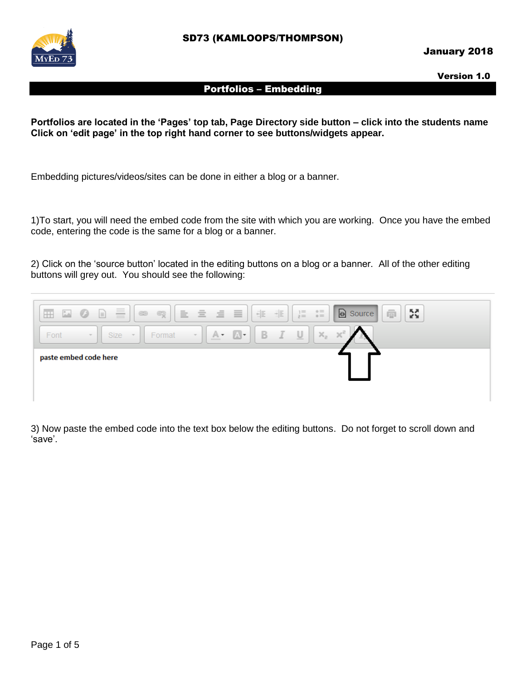

Version 1.0

### Portfolios – Embedding

**Portfolios are located in the 'Pages' top tab, Page Directory side button – click into the students name Click on 'edit page' in the top right hand corner to see buttons/widgets appear.**

Embedding pictures/videos/sites can be done in either a blog or a banner.

1)To start, you will need the embed code from the site with which you are working. Once you have the embed code, entering the code is the same for a blog or a banner.

2) Click on the 'source button' located in the editing buttons on a blog or a banner. All of the other editing buttons will grey out. You should see the following:



3) Now paste the embed code into the text box below the editing buttons. Do not forget to scroll down and 'save'.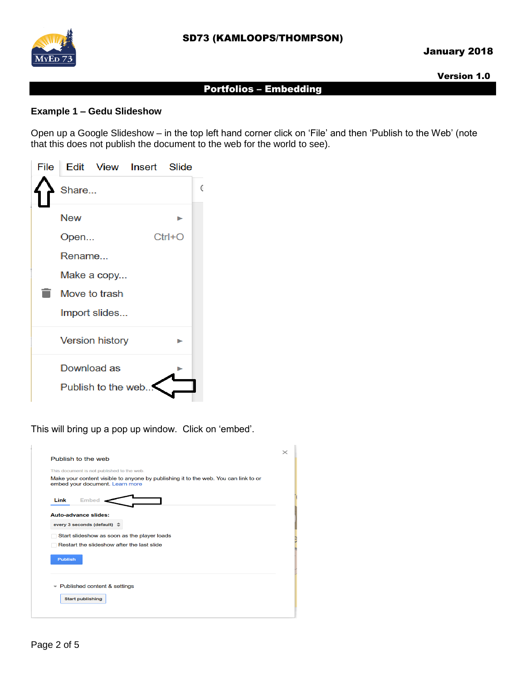

### Version 1.0

# Portfolios – Embedding

# **Example 1 – Gedu Slideshow**

Open up a Google Slideshow – in the top left hand corner click on 'File' and then 'Publish to the Web' (note that this does not publish the document to the web for the world to see).

|        |                        | File Edit View Insert Slide |            |  |  |
|--------|------------------------|-----------------------------|------------|--|--|
| Share  |                        |                             |            |  |  |
| New    |                        |                             |            |  |  |
| Open   |                        |                             | $Ctrl + O$ |  |  |
| Rename |                        |                             |            |  |  |
|        | Make a copy            |                             |            |  |  |
|        | Move to trash          |                             |            |  |  |
|        | Import slides          |                             |            |  |  |
|        | <b>Version history</b> |                             |            |  |  |
|        | Download as            |                             |            |  |  |
|        | Publish to the web     |                             |            |  |  |

This will bring up a pop up window. Click on 'embed'.

|                | This document is not published to the web.                                                                             |
|----------------|------------------------------------------------------------------------------------------------------------------------|
|                | Make your content visible to anyone by publishing it to the web. You can link to or<br>embed your document. Learn more |
|                |                                                                                                                        |
| Link           | <b>Embed</b>                                                                                                           |
|                |                                                                                                                        |
|                | Auto-advance slides:                                                                                                   |
|                | every 3 seconds (default) $\Rightarrow$                                                                                |
|                | Start slideshow as soon as the player loads                                                                            |
|                | Restart the slideshow after the last slide                                                                             |
|                |                                                                                                                        |
|                |                                                                                                                        |
| <b>Publish</b> |                                                                                                                        |
|                |                                                                                                                        |
|                | Published content & settings                                                                                           |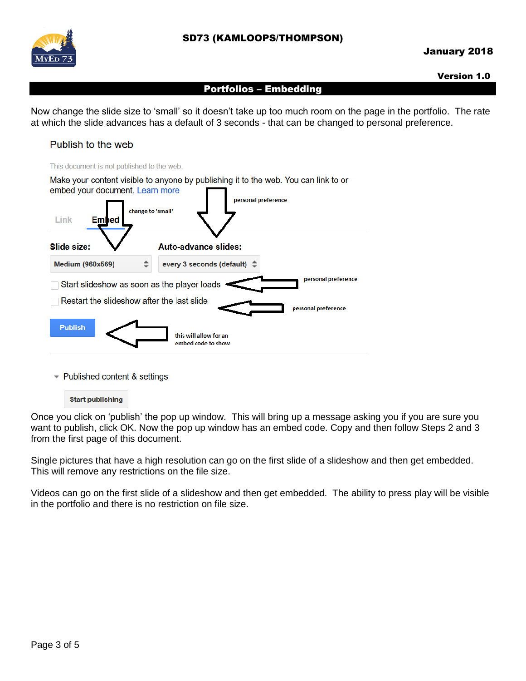

# January 2018

#### Version 1.0

#### Portfolios – Embedding

Now change the slide size to 'small' so it doesn't take up too much room on the page in the portfolio. The rate at which the slide advances has a default of 3 seconds - that can be changed to personal preference.





- Published content & settings

**Start publishing** 

Once you click on 'publish' the pop up window. This will bring up a message asking you if you are sure you want to publish, click OK. Now the pop up window has an embed code. Copy and then follow Steps 2 and 3 from the first page of this document.

Single pictures that have a high resolution can go on the first slide of a slideshow and then get embedded. This will remove any restrictions on the file size.

Videos can go on the first slide of a slideshow and then get embedded. The ability to press play will be visible in the portfolio and there is no restriction on file size.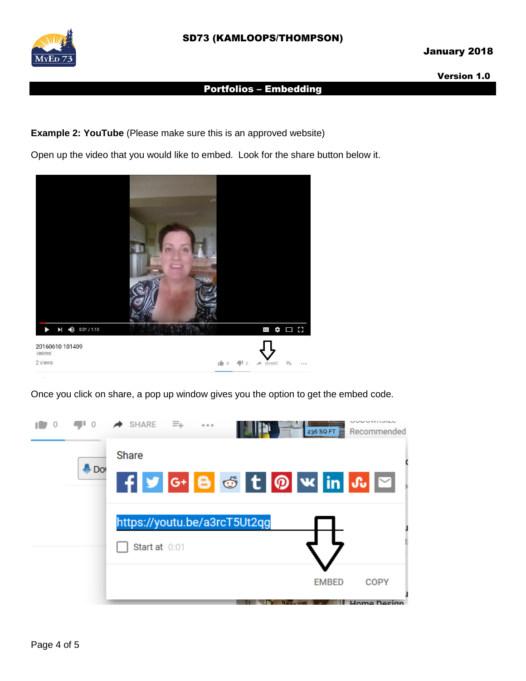

# January 2018

Version 1.0

# Portfolios – Embedding

**Example 2: YouTube** (Please make sure this is an approved website)

Open up the video that you would like to embed. Look for the share button below it.



Once you click on share, a pop up window gives you the option to get the embed code.

|       | $\rightarrow$ SHARE | - =<br>0.0.0 |                                    |              | UUDUITI<br>236 SQ FT Recommended |  |
|-------|---------------------|--------------|------------------------------------|--------------|----------------------------------|--|
|       | <b>Share</b>        |              |                                    |              |                                  |  |
| I Dol |                     |              | F Y G+ B & t 0 W in $\mathbf{u}$ M |              |                                  |  |
|       |                     |              | https://youtu.be/a3rcT5Ut2qg       |              |                                  |  |
|       | Start at 0:01       |              |                                    |              |                                  |  |
|       |                     |              |                                    | <b>EMBED</b> | <b>COPY</b>                      |  |
|       |                     |              |                                    |              | <b>II. Home Decian</b>           |  |